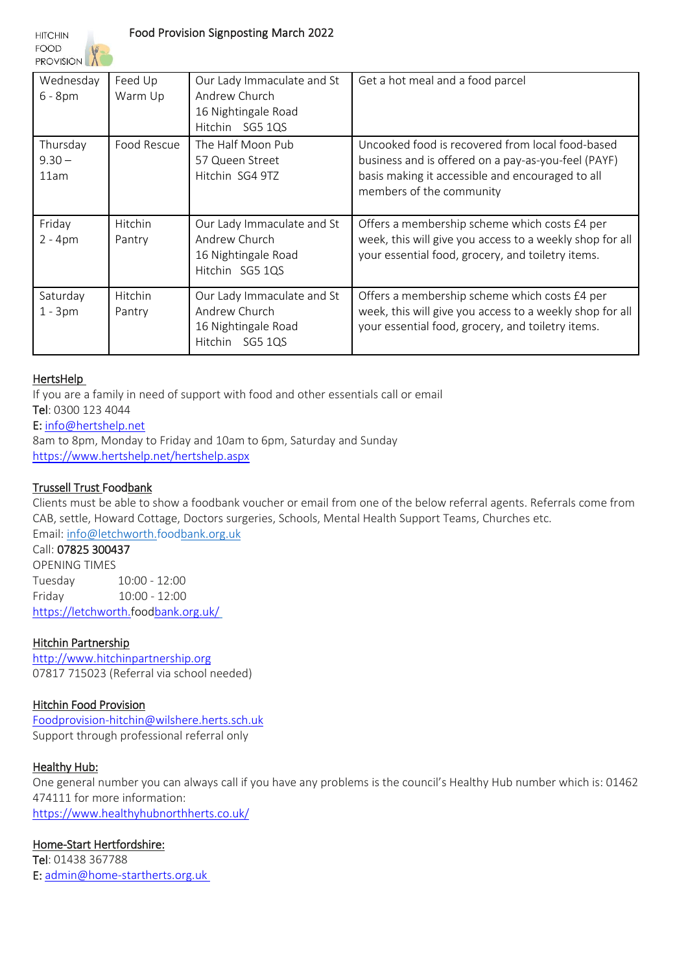**HITCHIN** 

**FOOD PROVISION** 

| Wednesday<br>$6 - 8pm$       | Feed Up<br>Warm Up | Our Lady Immaculate and St<br>Andrew Church<br>16 Nightingale Road<br>Hitchin SG5 1QS | Get a hot meal and a food parcel                                                                                                                                                        |
|------------------------------|--------------------|---------------------------------------------------------------------------------------|-----------------------------------------------------------------------------------------------------------------------------------------------------------------------------------------|
| Thursday<br>$9.30 -$<br>11am | Food Rescue        | The Half Moon Pub<br>57 Queen Street<br>Hitchin SG4 9TZ                               | Uncooked food is recovered from local food-based<br>business and is offered on a pay-as-you-feel (PAYF)<br>basis making it accessible and encouraged to all<br>members of the community |
| Friday<br>$2 - 4pm$          | Hitchin<br>Pantry  | Our Lady Immaculate and St<br>Andrew Church<br>16 Nightingale Road<br>Hitchin SG5 1QS | Offers a membership scheme which costs £4 per<br>week, this will give you access to a weekly shop for all<br>your essential food, grocery, and toiletry items.                          |
| Saturday<br>$1 - 3pm$        | Hitchin<br>Pantry  | Our Lady Immaculate and St<br>Andrew Church<br>16 Nightingale Road<br>Hitchin SG5 1QS | Offers a membership scheme which costs £4 per<br>week, this will give you access to a weekly shop for all<br>your essential food, grocery, and toiletry items.                          |

### HertsHelp

If you are a family in need of support with food and other essentials call or email Tel: 0300 123 4044

# E: [info@hertshelp.net](mailto:info@hertshelp.net)

8am to 8pm, Monday to Friday and 10am to 6pm, Saturday and Sunday <https://www.hertshelp.net/hertshelp.aspx>

# Trussell Trust Foodbank

Clients must be able to show a foodbank voucher or email from one of the below referral agents. Referrals come from CAB, settle, Howard Cottage, Doctors surgeries, Schools, Mental Health Support Teams, Churches etc. Email: [info@letchworth.foodbank.org.uk](mailto:info@letchworth.foodbank.org.uk) 

# Call: 07825 300437

OPENING TIMES Tuesday 10:00 - 12:00 Friday 10:00 - 12:00 <https://letchworth.foodbank.org.uk/>

### Hitchin Partnership

[http://www.hitchinpartnership.org](http://www.hitchinpartnership.org/) 07817 715023 (Referral via school needed)

### Hitchin Food Provision

[Foodprovision-hitchin@wilshere.herts.sch.uk](mailto:Foodprovision-hitchin@wilshere.herts.sch.uk) Support through professional referral only

### Healthy Hub:

One general number you can always call if you have any problems is the council's Healthy Hub number which is: 01462 474111 for more information: <https://www.healthyhubnorthherts.co.uk/>

# Home-Start Hertfordshire:

Tel: 01438 367788 E: [admin@home-startherts.org.uk](mailto:admin@home-startherts.org.uk)